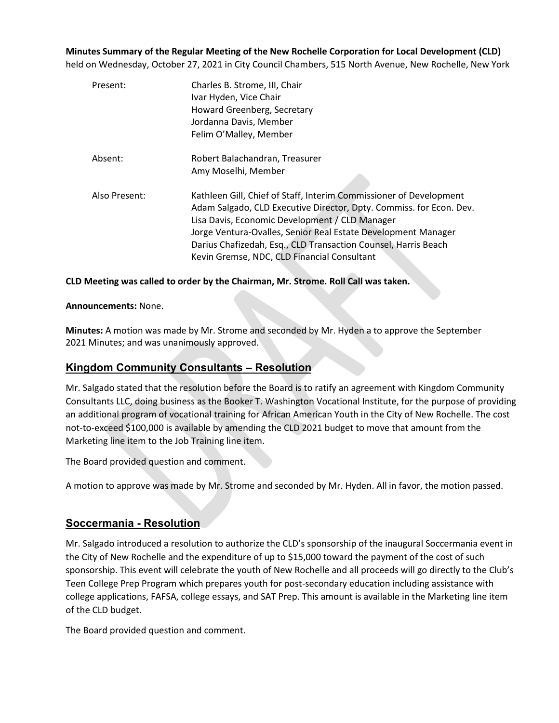**Minutes Summary of the Regular Meeting of the New Rochelle Corporation for Local Development (CLD)** held on Wednesday, October 27, 2021 in City Council Chambers, 515 North Avenue, New Rochelle, New York

| Present:      | Charles B. Strome, III, Chair<br>Ivar Hyden, Vice Chair<br>Howard Greenberg, Secretary<br>Jordanna Davis, Member<br>Felim O'Malley, Member                                                                                                                                                                                                                                    |
|---------------|-------------------------------------------------------------------------------------------------------------------------------------------------------------------------------------------------------------------------------------------------------------------------------------------------------------------------------------------------------------------------------|
| Absent:       | Robert Balachandran, Treasurer<br>Amy Moselhi, Member                                                                                                                                                                                                                                                                                                                         |
| Also Present: | Kathleen Gill, Chief of Staff, Interim Commissioner of Development<br>Adam Salgado, CLD Executive Director, Dpty. Commiss. for Econ. Dev.<br>Lisa Davis, Economic Development / CLD Manager<br>Jorge Ventura-Ovalles, Senior Real Estate Development Manager<br>Darius Chafizedah, Esq., CLD Transaction Counsel, Harris Beach<br>Kevin Gremse, NDC, CLD Financial Consultant |

**CLD Meeting was called to order by the Chairman, Mr. Strome. Roll Call was taken.**

### **Announcements:** None.

**Minutes:** A motion was made by Mr. Strome and seconded by Mr. Hyden a to approve the September 2021 Minutes; and was unanimously approved.

## **Kingdom Community Consultants – Resolution**

Mr. Salgado stated that the resolution before the Board is to ratify an agreement with Kingdom Community Consultants LLC, doing business as the Booker T. Washington Vocational Institute, for the purpose of providing an additional program of vocational training for African American Youth in the City of New Rochelle. The cost not-to-exceed \$100,000 is available by amending the CLD 2021 budget to move that amount from the Marketing line item to the Job Training line item.

The Board provided question and comment.

A motion to approve was made by Mr. Strome and seconded by Mr. Hyden. All in favor, the motion passed.

## **Soccermania - Resolution**

Mr. Salgado introduced a resolution to authorize the CLD's sponsorship of the inaugural Soccermania event in the City of New Rochelle and the expenditure of up to \$15,000 toward the payment of the cost of such sponsorship. This event will celebrate the youth of New Rochelle and all proceeds will go directly to the Club's Teen College Prep Program which prepares youth for post-secondary education including assistance with college applications, FAFSA, college essays, and SAT Prep. This amount is available in the Marketing line item of the CLD budget.

The Board provided question and comment.